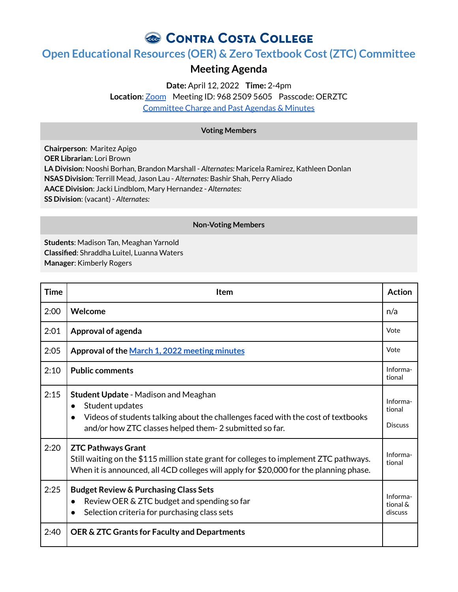# CONTRA COSTA COLLEGE

## **Open Educational Resources (OER) & Zero Textbook Cost(ZTC) Committee**

### **Meeting Agenda**

**Date:** April 12, 2022 **Time:** 2-4pm **Location**: [Zoom](https://4cd.zoom.us/j/96825095605?pwd=ekxnYlZmbWpoWnNnS3JRdnFLQUxUUT09) Meeting ID: 968 2509 5605 Passcode: OERZTC [Committee](https://www.contracosta.edu/about/administration/college-committees/open-educational-resources-oer-and-zero-textbook-cost-ztc-committee/) Charge and Past Agendas & Minutes

### **Voting Members**

**Chairperson**: Maritez Apigo **OER Librarian**: Lori Brown **LA Division**: Nooshi Borhan, Brandon Marshall - *Alternates:* Maricela Ramirez, Kathleen Donlan **NSAS Division**: Terrill Mead, Jason Lau - *Alternates:* Bashir Shah, Perry Aliado **AACE Division**: Jacki Lindblom, Mary Hernandez - *Alternates:* **SS Division**: (vacant) - *Alternates:*

#### **Non-Voting Members**

**Students**: Madison Tan, Meaghan Yarnold **Classified**: Shraddha Luitel, Luanna Waters **Manager**: Kimberly Rogers

| <b>Time</b> | Item                                                                                                                                                                                                                                   | <b>Action</b>                        |
|-------------|----------------------------------------------------------------------------------------------------------------------------------------------------------------------------------------------------------------------------------------|--------------------------------------|
| 2:00        | Welcome                                                                                                                                                                                                                                | n/a                                  |
| 2:01        | Approval of agenda                                                                                                                                                                                                                     | Vote                                 |
| 2:05        | Approval of the March 1, 2022 meeting minutes                                                                                                                                                                                          | Vote                                 |
| 2:10        | <b>Public comments</b>                                                                                                                                                                                                                 | Informa-<br>tional                   |
| 2:15        | <b>Student Update - Madison and Meaghan</b><br>Student updates<br>$\bullet$<br>Videos of students talking about the challenges faced with the cost of textbooks<br>$\bullet$<br>and/or how ZTC classes helped them-2 submitted so far. | Informa-<br>tional<br><b>Discuss</b> |
| 2:20        | <b>ZTC Pathways Grant</b><br>Still waiting on the \$115 million state grant for colleges to implement ZTC pathways.<br>When it is announced, all 4CD colleges will apply for \$20,000 for the planning phase.                          | Informa-<br>tional                   |
| 2:25        | <b>Budget Review &amp; Purchasing Class Sets</b><br>Review OER & ZTC budget and spending so far<br>$\bullet$<br>Selection criteria for purchasing class sets                                                                           | Informa-<br>tional &<br>discuss      |
| 2:40        | OER & ZTC Grants for Faculty and Departments                                                                                                                                                                                           |                                      |